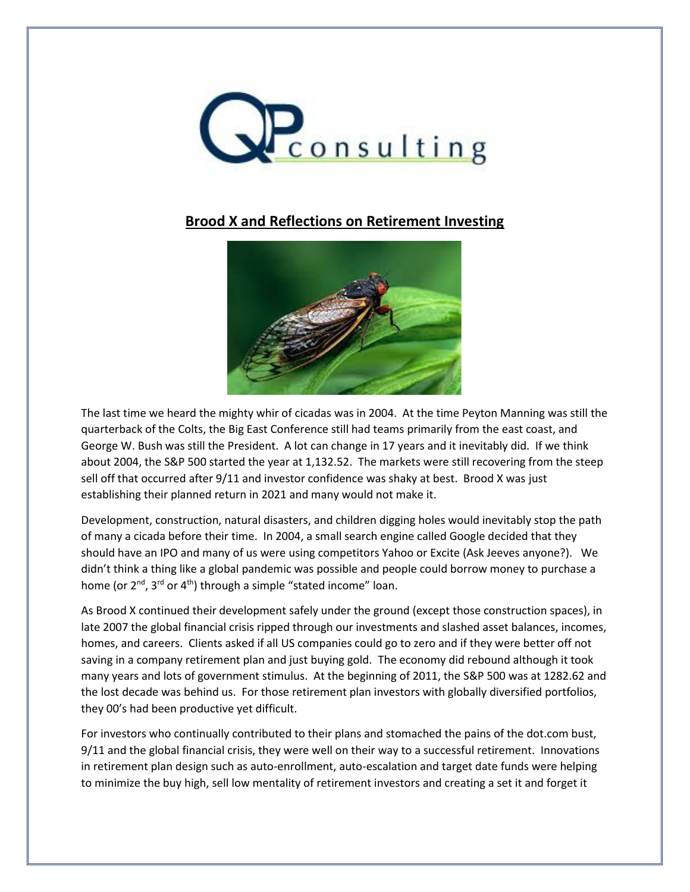

## **Brood X and Reflections on Retirement Investing**



The last time we heard the mighty whir of cicadas was in 2004. At the time Peyton Manning was still the quarterback of the Colts, the Big East Conference still had teams primarily from the east coast, and George W. Bush was still the President. A lot can change in 17 years and it inevitably did. If we think about 2004, the S&P 500 started the year at 1,132.52. The markets were still recovering from the steep sell off that occurred after 9/11 and investor confidence was shaky at best. Brood X was just establishing their planned return in 2021 and many would not make it.

Development, construction, natural disasters, and children digging holes would inevitably stop the path of many a cicada before their time. In 2004, a small search engine called Google decided that they should have an IPO and many of us were using competitors Yahoo or Excite (Ask Jeeves anyone?). We didn't think a thing like a global pandemic was possible and people could borrow money to purchase a home (or 2<sup>nd</sup>, 3<sup>rd</sup> or 4<sup>th</sup>) through a simple "stated income" loan.

As Brood X continued their development safely under the ground (except those construction spaces), in late 2007 the global financial crisis ripped through our investments and slashed asset balances, incomes, homes, and careers. Clients asked if all US companies could go to zero and if they were better off not saving in a company retirement plan and just buying gold. The economy did rebound although it took many years and lots of government stimulus. At the beginning of 2011, the S&P 500 was at 1282.62 and the lost decade was behind us. For those retirement plan investors with globally diversified portfolios, they 00's had been productive yet difficult.

For investors who continually contributed to their plans and stomached the pains of the dot.com bust, 9/11 and the global financial crisis, they were well on their way to a successful retirement. Innovations in retirement plan design such as auto-enrollment, auto-escalation and target date funds were helping to minimize the buy high, sell low mentality of retirement investors and creating a set it and forget it